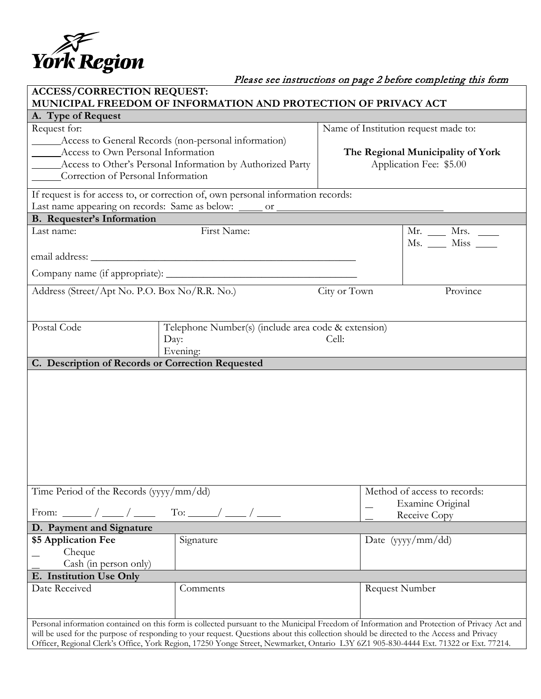

# Please see instructions on page 2 before completing this form

| <b>ACCESS/CORRECTION REQUEST:</b><br>MUNICIPAL FREEDOM OF INFORMATION AND PROTECTION OF PRIVACY ACT                                                                                                                                                                                                                                                                                                                             |                                                                         |                                                              |                                                         |  |
|---------------------------------------------------------------------------------------------------------------------------------------------------------------------------------------------------------------------------------------------------------------------------------------------------------------------------------------------------------------------------------------------------------------------------------|-------------------------------------------------------------------------|--------------------------------------------------------------|---------------------------------------------------------|--|
| A. Type of Request                                                                                                                                                                                                                                                                                                                                                                                                              |                                                                         |                                                              |                                                         |  |
| Request for:                                                                                                                                                                                                                                                                                                                                                                                                                    |                                                                         | Name of Institution request made to:                         |                                                         |  |
| Access to General Records (non-personal information)<br>_________ Access to Own Personal Information<br>_______ Access to Other's Personal Information by Authorized Party<br>Correction of Personal Information                                                                                                                                                                                                                |                                                                         | The Regional Municipality of York<br>Application Fee: \$5.00 |                                                         |  |
| If request is for access to, or correction of, own personal information records:<br>Last name appearing on records: Same as below: _____ or _________________________                                                                                                                                                                                                                                                           |                                                                         |                                                              |                                                         |  |
| <b>B.</b> Requester's Information                                                                                                                                                                                                                                                                                                                                                                                               |                                                                         |                                                              |                                                         |  |
| Last name:                                                                                                                                                                                                                                                                                                                                                                                                                      | First Name:                                                             |                                                              | $Mr. \_\_\_$ Mrs. $\_\_\_\_\_\_$<br>$Ms.$ $Miss$ $\_\_$ |  |
|                                                                                                                                                                                                                                                                                                                                                                                                                                 |                                                                         |                                                              |                                                         |  |
|                                                                                                                                                                                                                                                                                                                                                                                                                                 |                                                                         |                                                              |                                                         |  |
| Address (Street/Apt No. P.O. Box No/R.R. No.)                                                                                                                                                                                                                                                                                                                                                                                   |                                                                         | City or Town                                                 | Province                                                |  |
| Postal Code                                                                                                                                                                                                                                                                                                                                                                                                                     | Telephone Number(s) (include area code & extension)<br>Day:<br>Evening: | Cell:                                                        |                                                         |  |
| C. Description of Records or Correction Requested                                                                                                                                                                                                                                                                                                                                                                               |                                                                         |                                                              |                                                         |  |
|                                                                                                                                                                                                                                                                                                                                                                                                                                 |                                                                         |                                                              |                                                         |  |
| Time Period of the Records (yyyy/mm/dd)                                                                                                                                                                                                                                                                                                                                                                                         |                                                                         | Method of access to records:                                 |                                                         |  |
|                                                                                                                                                                                                                                                                                                                                                                                                                                 |                                                                         | Examine Original<br>Receive Copy                             |                                                         |  |
| D. Payment and Signature                                                                                                                                                                                                                                                                                                                                                                                                        |                                                                         |                                                              |                                                         |  |
| \$5 Application Fee<br>Cheque<br>Cash (in person only)                                                                                                                                                                                                                                                                                                                                                                          | Signature                                                               |                                                              | Date (yyyy/mm/dd)                                       |  |
| E. Institution Use Only                                                                                                                                                                                                                                                                                                                                                                                                         |                                                                         |                                                              |                                                         |  |
| Date Received                                                                                                                                                                                                                                                                                                                                                                                                                   | Comments                                                                | <b>Request Number</b>                                        |                                                         |  |
| Personal information contained on this form is collected pursuant to the Municipal Freedom of Information and Protection of Privacy Act and<br>will be used for the purpose of responding to your request. Questions about this collection should be directed to the Access and Privacy<br>Officer, Regional Clerk's Office, York Region, 17250 Yonge Street, Newmarket, Ontario L3Y 6Z1 905-830-4444 Ext. 71322 or Ext. 77214. |                                                                         |                                                              |                                                         |  |